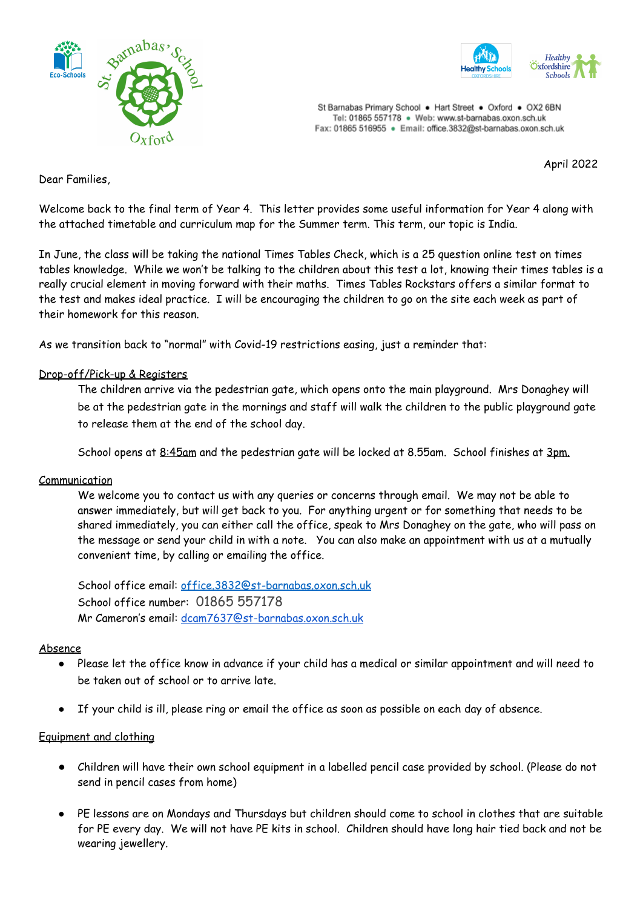



St Barnabas Primary School . Hart Street . Oxford . OX2 6BN Tel: 01865 557178 · Web: www.st-barnabas.oxon.sch.uk Fax: 01865 516955 · Email: office.3832@st-barnabas.oxon.sch.uk

April 2022

Dear Families,

Welcome back to the final term of Year 4. This letter provides some useful information for Year 4 along with the attached timetable and curriculum map for the Summer term. This term, our topic is India.

In June, the class will be taking the national Times Tables Check, which is a 25 question online test on times tables knowledge. While we won't be talking to the children about this test a lot, knowing their times tables is a really crucial element in moving forward with their maths. Times Tables Rockstars offers a similar format to the test and makes ideal practice. I will be encouraging the children to go on the site each week as part of their homework for this reason.

As we transition back to "normal" with Covid-19 restrictions easing, just a reminder that:

### Drop-off/Pick-up & Registers

The children arrive via the pedestrian gate, which opens onto the main playground. Mrs Donaghey will be at the pedestrian gate in the mornings and staff will walk the children to the public playground gate to release them at the end of the school day.

School opens at 8:45am and the pedestrian gate will be locked at 8.55am. School finishes at 3pm.

### Communication

We welcome you to contact us with any queries or concerns through email. We may not be able to answer immediately, but will get back to you. For anything urgent or for something that needs to be shared immediately, you can either call the office, speak to Mrs Donaghey on the gate, who will pass on the message or send your child in with a note. You can also make an appointment with us at a mutually convenient time, by calling or emailing the office.

School office email: [office.3832@st-barnabas.oxon.sch.uk](mailto:office.3832@st-barnabas.oxon.sch.uk) School office number: 01865 557178 Mr Cameron's email: [dcam7637@st-barnabas.oxon.sch.uk](mailto:dcam7637@st-barnabas.oxon.sch.uk)

### Absence

- Please let the office know in advance if your child has a medical or similar appointment and will need to be taken out of school or to arrive late.
- If your child is ill, please ring or email the office as soon as possible on each day of absence.

### Equipment and clothing

- Children will have their own school equipment in a labelled pencil case provided by school. (Please do not send in pencil cases from home)
- PE lessons are on Mondays and Thursdays but children should come to school in clothes that are suitable for PE every day. We will not have PE kits in school. Children should have long hair tied back and not be wearing jewellery.